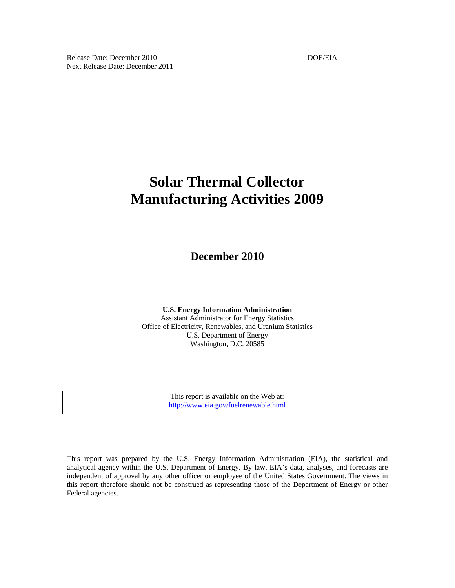Release Date: December 2010 **DOE/EIA** DOE/EIA Next Release Date: December 2011

# **Solar Thermal Collector Manufacturing Activities 2009**

**December 2010** 

**U.S. Energy Information Administration**  Assistant Administrator for Energy Statistics Office of Electricity, Renewables, and Uranium Statistics U.S. Department of Energy Washington, D.C. 20585

> This report is available on the Web at: http://www.eia.gov/fuelrenewable.html

This report was prepared by the U.S. Energy Information Administration (EIA), the statistical and analytical agency within the U.S. Department of Energy. By law, EIA's data, analyses, and forecasts are independent of approval by any other officer or employee of the United States Government. The views in this report therefore should not be construed as representing those of the Department of Energy or other Federal agencies.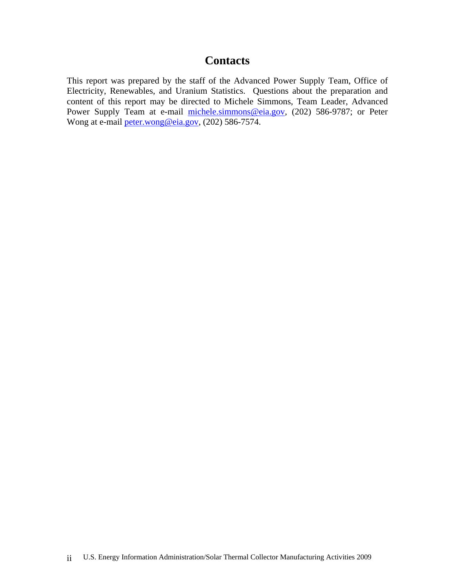# **Contacts**

This report was prepared by the staff of the Advanced Power Supply Team, Office of Electricity, Renewables, and Uranium Statistics. Questions about the preparation and content of this report may be directed to Michele Simmons, Team Leader, Advanced Power Supply Team at e-mail michele.simmons@eia.gov, (202) 586-9787; or Peter Wong at e-mail peter.wong@eia.gov, (202) 586-7574.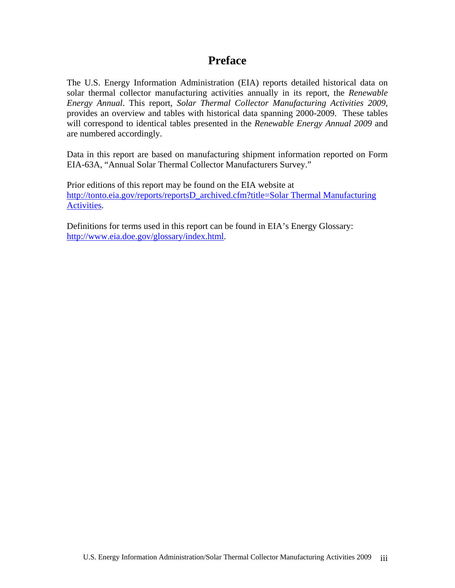# **Preface**

The U.S. Energy Information Administration (EIA) reports detailed historical data on solar thermal collector manufacturing activities annually in its report, the *Renewable Energy Annual*. This report, *Solar Thermal Collector Manufacturing Activities 2009*, provides an overview and tables with historical data spanning 2000-2009. These tables will correspond to identical tables presented in the *Renewable Energy Annual 2009* and are numbered accordingly.

Data in this report are based on manufacturing shipment information reported on Form EIA-63A, "Annual Solar Thermal Collector Manufacturers Survey."

Prior editions of this report may be found on the EIA website at http://tonto.eia.gov/reports/reportsD\_archived.cfm?title=Solar Thermal Manufacturing Activities.

Definitions for terms used in this report can be found in EIA's Energy Glossary: http://www.eia.doe.gov/glossary/index.html.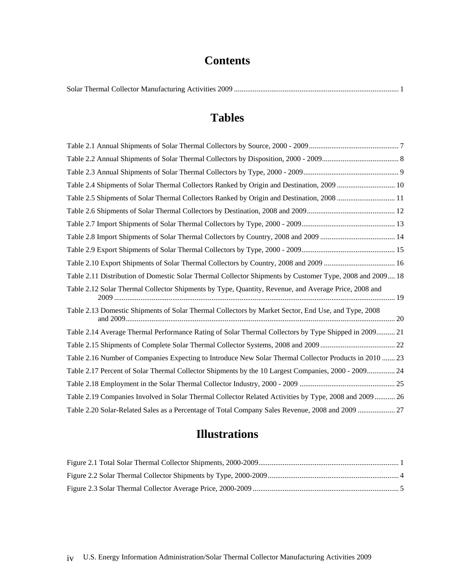# **Contents**

|--|--|

# **Tables**

| Table 2.4 Shipments of Solar Thermal Collectors Ranked by Origin and Destination, 2009  10               |  |
|----------------------------------------------------------------------------------------------------------|--|
| Table 2.5 Shipments of Solar Thermal Collectors Ranked by Origin and Destination, 2008  11               |  |
|                                                                                                          |  |
|                                                                                                          |  |
|                                                                                                          |  |
|                                                                                                          |  |
|                                                                                                          |  |
| Table 2.11 Distribution of Domestic Solar Thermal Collector Shipments by Customer Type, 2008 and 2009 18 |  |
| Table 2.12 Solar Thermal Collector Shipments by Type, Quantity, Revenue, and Average Price, 2008 and     |  |
| Table 2.13 Domestic Shipments of Solar Thermal Collectors by Market Sector, End Use, and Type, 2008      |  |
| Table 2.14 Average Thermal Performance Rating of Solar Thermal Collectors by Type Shipped in 2009 21     |  |
|                                                                                                          |  |
| Table 2.16 Number of Companies Expecting to Introduce New Solar Thermal Collector Products in 2010  23   |  |
| Table 2.17 Percent of Solar Thermal Collector Shipments by the 10 Largest Companies, 2000 - 2009 24      |  |
|                                                                                                          |  |
| Table 2.19 Companies Involved in Solar Thermal Collector Related Activities by Type, 2008 and 2009  26   |  |
| Table 2.20 Solar-Related Sales as a Percentage of Total Company Sales Revenue, 2008 and 2009  27         |  |

# **Illustrations**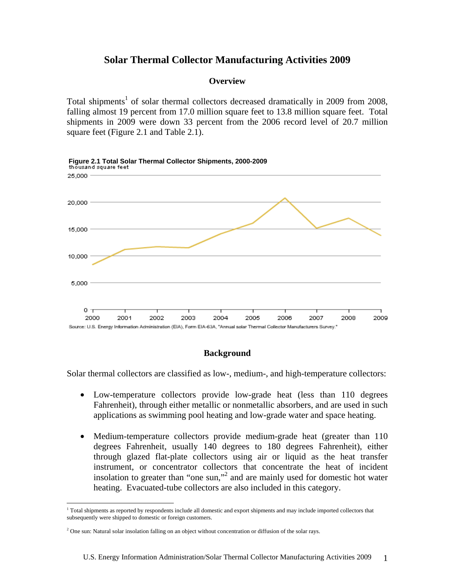# **Solar Thermal Collector Manufacturing Activities 2009**

# **Overview**

Total shipments<sup>1</sup> of solar thermal collectors decreased dramatically in 2009 from 2008, falling almost 19 percent from 17.0 million square feet to 13.8 million square feet. Total shipments in 2009 were down 33 percent from the 2006 record level of 20.7 million square feet (Figure 2.1 and Table 2.1).



### **Background**

Solar thermal collectors are classified as low-, medium-, and high-temperature collectors:

- Low-temperature collectors provide low-grade heat (less than 110 degrees Fahrenheit), through either metallic or nonmetallic absorbers, and are used in such applications as swimming pool heating and low-grade water and space heating.
- Medium-temperature collectors provide medium-grade heat (greater than 110) degrees Fahrenheit, usually 140 degrees to 180 degrees Fahrenheit), either through glazed flat-plate collectors using air or liquid as the heat transfer instrument, or concentrator collectors that concentrate the heat of incident insolation to greater than "one sun,"<sup>2</sup> and are mainly used for domestic hot water heating. Evacuated-tube collectors are also included in this category.

1

<sup>&</sup>lt;sup>1</sup> Total shipments as reported by respondents include all domestic and export shipments and may include imported collectors that subsequently were shipped to domestic or foreign customers.

<sup>&</sup>lt;sup>2</sup> One sun: Natural solar insolation falling on an object without concentration or diffusion of the solar rays.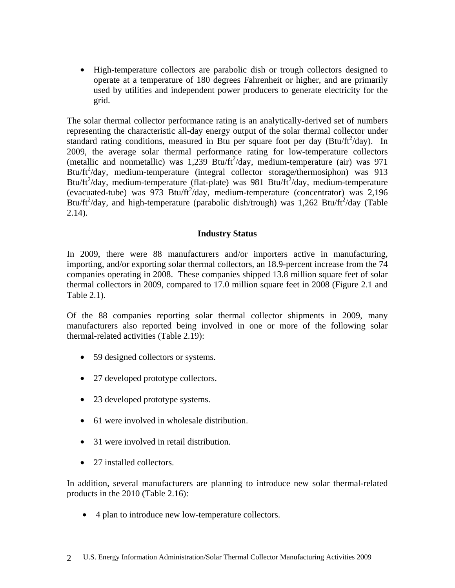• High-temperature collectors are parabolic dish or trough collectors designed to operate at a temperature of 180 degrees Fahrenheit or higher, and are primarily used by utilities and independent power producers to generate electricity for the grid.

The solar thermal collector performance rating is an analytically-derived set of numbers representing the characteristic all-day energy output of the solar thermal collector under standard rating conditions, measured in Btu per square foot per day (Btu/ft $^2$ /day). In 2009, the average solar thermal performance rating for low-temperature collectors (metallic and nonmetallic) was  $1,239$  Btu/ft<sup>2</sup>/day, medium-temperature (air) was 971 Btu/ft<sup>2</sup>/day, medium-temperature (integral collector storage/thermosiphon) was 913 Btu/ft<sup>2</sup>/day, medium-temperature (flat-plate) was 981 Btu/ft<sup>2</sup>/day, medium-temperature (evacuated-tube) was  $973$  Btu/ft<sup>2</sup>/day, medium-temperature (concentrator) was 2,196 Btu/ft<sup>2</sup>/day, and high-temperature (parabolic dish/trough) was 1,262 Btu/ft<sup>2</sup>/day (Table  $2.14$ ).

# **Industry Status**

In 2009, there were 88 manufacturers and/or importers active in manufacturing, importing, and/or exporting solar thermal collectors, an 18.9-percent increase from the 74 companies operating in 2008. These companies shipped 13.8 million square feet of solar thermal collectors in 2009, compared to 17.0 million square feet in 2008 (Figure 2.1 and Table 2.1).

Of the 88 companies reporting solar thermal collector shipments in 2009, many manufacturers also reported being involved in one or more of the following solar thermal-related activities (Table 2.19):

- 59 designed collectors or systems.
- 27 developed prototype collectors.
- 23 developed prototype systems.
- 61 were involved in wholesale distribution.
- 31 were involved in retail distribution.
- 27 installed collectors.

In addition, several manufacturers are planning to introduce new solar thermal-related products in the 2010 (Table 2.16):

• 4 plan to introduce new low-temperature collectors.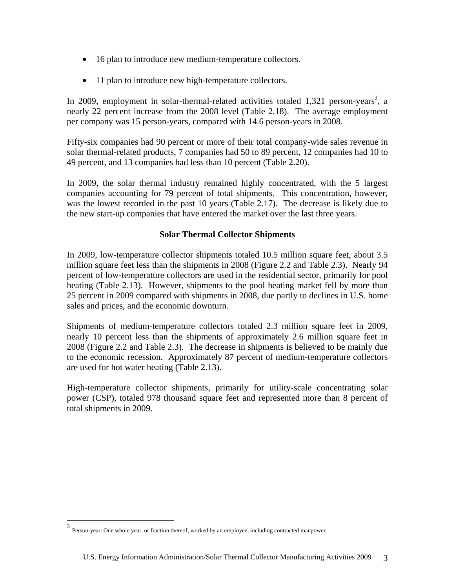- 16 plan to introduce new medium-temperature collectors.
- 11 plan to introduce new high-temperature collectors.

In 2009, employment in solar-thermal-related activities totaled  $1,321$  person-years<sup>3</sup>, a nearly 22 percent increase from the 2008 level (Table 2.18). The average employment per company was 15 person-years, compared with 14.6 person-years in 2008.

Fifty-six companies had 90 percent or more of their total company-wide sales revenue in solar thermal-related products, 7 companies had 50 to 89 percent, 12 companies had 10 to 49 percent, and 13 companies had less than 10 percent (Table 2.20).

In 2009, the solar thermal industry remained highly concentrated, with the 5 largest companies accounting for 79 percent of total shipments. This concentration, however, was the lowest recorded in the past 10 years (Table 2.17). The decrease is likely due to the new start-up companies that have entered the market over the last three years.

# **Solar Thermal Collector Shipments**

In 2009, low-temperature collector shipments totaled 10.5 million square feet, about 3.5 million square feet less than the shipments in 2008 (Figure 2.2 and Table 2.3). Nearly 94 percent of low-temperature collectors are used in the residential sector, primarily for pool heating (Table 2.13). However, shipments to the pool heating market fell by more than 25 percent in 2009 compared with shipments in 2008, due partly to declines in U.S. home sales and prices, and the economic downturn.

Shipments of medium-temperature collectors totaled 2.3 million square feet in 2009, nearly 10 percent less than the shipments of approximately 2.6 million square feet in 2008 (Figure 2.2 and Table 2.3). The decrease in shipments is believed to be mainly due to the economic recession. Approximately 87 percent of medium-temperature collectors are used for hot water heating (Table 2.13).

High-temperature collector shipments, primarily for utility-scale concentrating solar power (CSP), totaled 978 thousand square feet and represented more than 8 percent of total shipments in 2009.

 3 Person-year: One whole year, or fraction thereof, worked by an employee, including contracted manpower.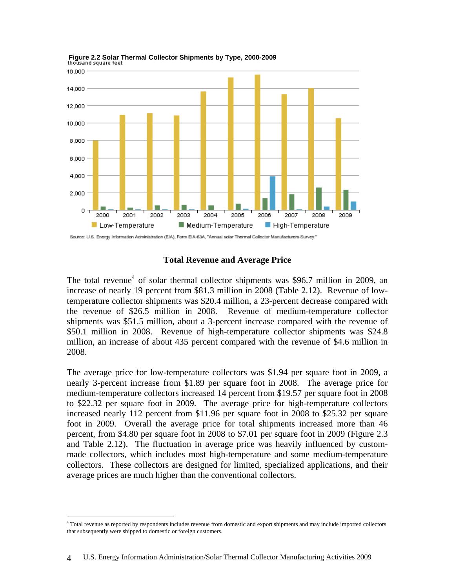

 **Figure 2.2 Solar Thermal Collector Shipments by Type, 2000-2009** 

Source: U.S. Energy Information Administration (EIA), Form EIA-63A, "Annual solar Thermal Collector Manufacturers Survey."

### **Total Revenue and Average Price**

The total revenue<sup>4</sup> of solar thermal collector shipments was \$96.7 million in 2009, an increase of nearly 19 percent from \$81.3 million in 2008 (Table 2.12). Revenue of lowtemperature collector shipments was \$20.4 million, a 23-percent decrease compared with the revenue of \$26.5 million in 2008. Revenue of medium-temperature collector shipments was \$51.5 million, about a 3-percent increase compared with the revenue of \$50.1 million in 2008. Revenue of high-temperature collector shipments was \$24.8 million, an increase of about 435 percent compared with the revenue of \$4.6 million in 2008.

The average price for low-temperature collectors was \$1.94 per square foot in 2009, a nearly 3-percent increase from \$1.89 per square foot in 2008. The average price for medium-temperature collectors increased 14 percent from \$19.57 per square foot in 2008 to \$22.32 per square foot in 2009. The average price for high-temperature collectors increased nearly 112 percent from \$11.96 per square foot in 2008 to \$25.32 per square foot in 2009. Overall the average price for total shipments increased more than 46 percent, from \$4.80 per square foot in 2008 to \$7.01 per square foot in 2009 (Figure 2.3 and Table 2.12). The fluctuation in average price was heavily influenced by custommade collectors, which includes most high-temperature and some medium-temperature collectors. These collectors are designed for limited, specialized applications, and their average prices are much higher than the conventional collectors.

 $\overline{a}$ 

<sup>4</sup> Total revenue as reported by respondents includes revenue from domestic and export shipments and may include imported collectors that subsequently were shipped to domestic or foreign customers.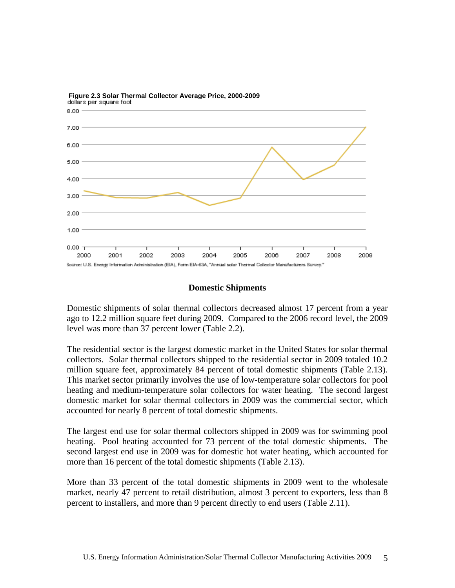

 **Figure 2.3 Solar Thermal Collector Average Price, 2000-2009** 

# **Domestic Shipments**

Domestic shipments of solar thermal collectors decreased almost 17 percent from a year ago to 12.2 million square feet during 2009. Compared to the 2006 record level, the 2009 level was more than 37 percent lower (Table 2.2).

The residential sector is the largest domestic market in the United States for solar thermal collectors. Solar thermal collectors shipped to the residential sector in 2009 totaled 10.2 million square feet, approximately 84 percent of total domestic shipments (Table 2.13). This market sector primarily involves the use of low-temperature solar collectors for pool heating and medium-temperature solar collectors for water heating. The second largest domestic market for solar thermal collectors in 2009 was the commercial sector, which accounted for nearly 8 percent of total domestic shipments.

The largest end use for solar thermal collectors shipped in 2009 was for swimming pool heating. Pool heating accounted for 73 percent of the total domestic shipments. The second largest end use in 2009 was for domestic hot water heating, which accounted for more than 16 percent of the total domestic shipments (Table 2.13).

More than 33 percent of the total domestic shipments in 2009 went to the wholesale market, nearly 47 percent to retail distribution, almost 3 percent to exporters, less than 8 percent to installers, and more than 9 percent directly to end users (Table 2.11).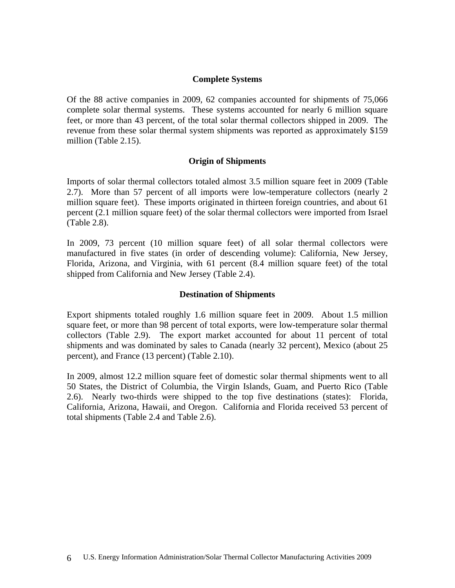## **Complete Systems**

Of the 88 active companies in 2009, 62 companies accounted for shipments of 75,066 complete solar thermal systems. These systems accounted for nearly 6 million square feet, or more than 43 percent, of the total solar thermal collectors shipped in 2009. The revenue from these solar thermal system shipments was reported as approximately \$159 million (Table 2.15).

### **Origin of Shipments**

Imports of solar thermal collectors totaled almost 3.5 million square feet in 2009 (Table 2.7). More than 57 percent of all imports were low-temperature collectors (nearly 2 million square feet). These imports originated in thirteen foreign countries, and about 61 percent (2.1 million square feet) of the solar thermal collectors were imported from Israel (Table 2.8).

In 2009, 73 percent (10 million square feet) of all solar thermal collectors were manufactured in five states (in order of descending volume): California, New Jersey, Florida, Arizona, and Virginia, with 61 percent (8.4 million square feet) of the total shipped from California and New Jersey (Table 2.4).

### **Destination of Shipments**

Export shipments totaled roughly 1.6 million square feet in 2009. About 1.5 million square feet, or more than 98 percent of total exports, were low-temperature solar thermal collectors (Table 2.9). The export market accounted for about 11 percent of total shipments and was dominated by sales to Canada (nearly 32 percent), Mexico (about 25 percent), and France (13 percent) (Table 2.10).

In 2009, almost 12.2 million square feet of domestic solar thermal shipments went to all 50 States, the District of Columbia, the Virgin Islands, Guam, and Puerto Rico (Table 2.6). Nearly two-thirds were shipped to the top five destinations (states): Florida, California, Arizona, Hawaii, and Oregon. California and Florida received 53 percent of total shipments (Table 2.4 and Table 2.6).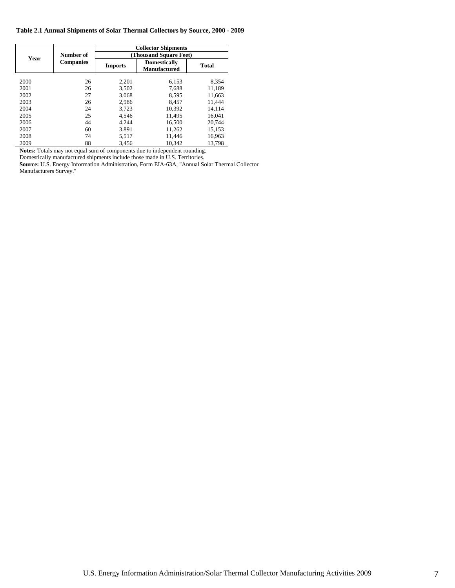|      |                  | <b>Collector Shipments</b> |                                            |              |
|------|------------------|----------------------------|--------------------------------------------|--------------|
| Year | Number of        | (Thousand Square Feet)     |                                            |              |
|      | <b>Companies</b> | <b>Imports</b>             | <b>Domestically</b><br><b>Manufactured</b> | <b>Total</b> |
|      |                  |                            |                                            |              |
| 2000 | 26               | 2.201                      | 6.153                                      | 8.354        |
| 2001 | 26               | 3,502                      | 7,688                                      | 11,189       |
| 2002 | 27               | 3,068                      | 8,595                                      | 11,663       |
| 2003 | 26               | 2,986                      | 8.457                                      | 11.444       |
| 2004 | 24               | 3,723                      | 10.392                                     | 14.114       |
| 2005 | 25               | 4.546                      | 11.495                                     | 16.041       |
| 2006 | 44               | 4.244                      | 16.500                                     | 20.744       |
| 2007 | 60               | 3.891                      | 11.262                                     | 15.153       |
| 2008 | 74               | 5,517                      | 11,446                                     | 16,963       |
| 2009 | 88               | 3,456                      | 10.342                                     | 13,798       |

**Notes:** Totals may not equal sum of components due to independent rounding.

Domestically manufactured shipments include those made in U.S. Territories.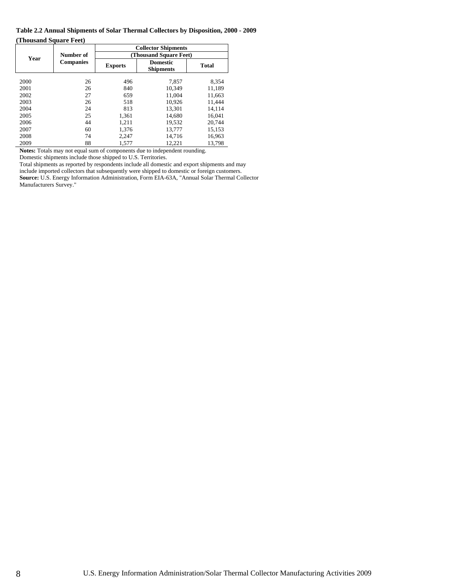#### **Table 2.2 Annual Shipments of Solar Thermal Collectors by Disposition, 2000 - 2009 (Thousand Square Feet)**

|      |                  | <b>Collector Shipments</b> |                                     |              |  |
|------|------------------|----------------------------|-------------------------------------|--------------|--|
| Year | Number of        | (Thousand Square Feet)     |                                     |              |  |
|      | <b>Companies</b> | <b>Exports</b>             | <b>Domestic</b><br><b>Shipments</b> | <b>Total</b> |  |
| 2000 | 26               | 496                        | 7.857                               | 8.354        |  |
| 2001 | 26               | 840                        | 10.349                              | 11,189       |  |
| 2002 | 27               | 659                        | 11,004                              | 11,663       |  |
| 2003 | 26               | 518                        | 10,926                              | 11.444       |  |
| 2004 | 24               | 813                        | 13,301                              | 14,114       |  |
| 2005 | 25               | 1,361                      | 14,680                              | 16,041       |  |
| 2006 | 44               | 1,211                      | 19,532                              | 20,744       |  |
| 2007 | 60               | 1.376                      | 13.777                              | 15,153       |  |
| 2008 | 74               | 2,247                      | 14.716                              | 16,963       |  |
| 2009 | 88               | 1,577                      | 12,221                              | 13,798       |  |

**Notes:** Totals may not equal sum of components due to independent rounding. Domestic shipments include those shipped to U.S. Territories.

Total shipments as reported by respondents include all domestic and export shipments and may include imported collectors that subsequently were shipped to domestic or foreign customers. **Source:** U.S. Energy Information Administration, Form EIA-63A, "Annual Solar Thermal Collector Manufacturers Survey."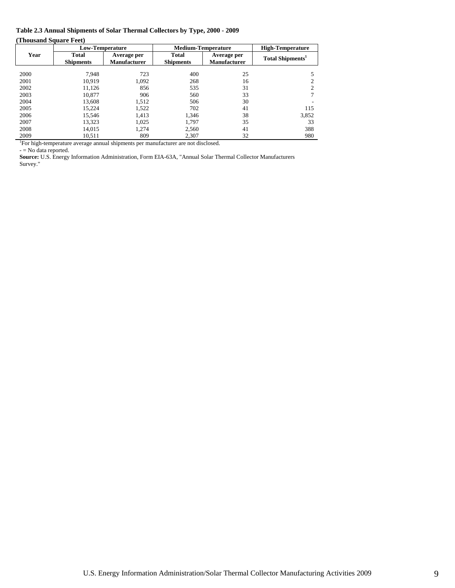### **Table 2.3 Annual Shipments of Solar Thermal Collectors by Type, 2000 - 2009**

**(Thousand Square Feet)** 

|      |                                                                                   | <b>Low-Temperature</b>             |                                  | <b>Medium-Temperature</b>          | <b>High-Temperature</b>      |
|------|-----------------------------------------------------------------------------------|------------------------------------|----------------------------------|------------------------------------|------------------------------|
| Year | <b>Total</b><br><b>Shipments</b>                                                  | Average per<br><b>Manufacturer</b> | <b>Total</b><br><b>Shipments</b> | Average per<br><b>Manufacturer</b> | Total Shipments <sup>1</sup> |
| 2000 | 7.948                                                                             | 723                                | 400                              | 25                                 |                              |
| 2001 | 10.919                                                                            | 1.092                              | 268                              | 16                                 | 2                            |
| 2002 | 11.126                                                                            | 856                                | 535                              | 31                                 | 2                            |
| 2003 | 10.877                                                                            | 906                                | 560                              | 33                                 |                              |
| 2004 | 13.608                                                                            | 1,512                              | 506                              | 30                                 |                              |
| 2005 | 15.224                                                                            | 1.522                              | 702                              | 41                                 | 115                          |
| 2006 | 15.546                                                                            | 1.413                              | 1.346                            | 38                                 | 3,852                        |
| 2007 | 13.323                                                                            | 1.025                              | 1.797                            | 35                                 | 33                           |
| 2008 | 14.015                                                                            | 1.274                              | 2.560                            | 41                                 | 388                          |
| 2009 | 10.511                                                                            | 809                                | 2.307                            | 32                                 | 980                          |
|      | For high-temperature average annual shipments per manufacturer are not disclosed. |                                    |                                  |                                    |                              |

- = No data reported.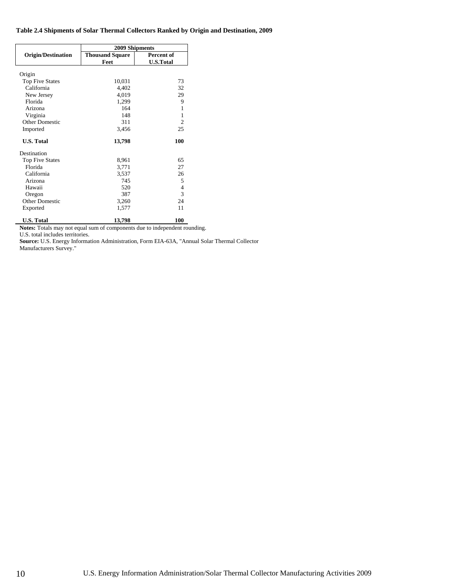#### **Table 2.4 Shipments of Solar Thermal Collectors Ranked by Origin and Destination, 2009**

|                           | 2009 Shipments         |                  |  |  |
|---------------------------|------------------------|------------------|--|--|
| <b>Origin/Destination</b> | <b>Thousand Square</b> | Percent of       |  |  |
|                           | Feet                   | <b>U.S.Total</b> |  |  |
|                           |                        |                  |  |  |
| Origin                    |                        |                  |  |  |
| <b>Top Five States</b>    | 10,031                 | 73               |  |  |
| California                | 4,402                  | 32               |  |  |
| New Jersey                | 4,019                  | 29               |  |  |
| Florida                   | 1,299                  | 9                |  |  |
| Arizona                   | 164                    | 1                |  |  |
| Virginia                  | 148                    | 1                |  |  |
| <b>Other Domestic</b>     | 311                    | $\overline{c}$   |  |  |
| Imported                  | 3,456                  | 25               |  |  |
| <b>U.S. Total</b>         | 13,798                 | 100              |  |  |
| Destination               |                        |                  |  |  |
| <b>Top Five States</b>    | 8,961                  | 65               |  |  |
| Florida                   | 3,771                  | 27               |  |  |
| California                | 3,537                  | 26               |  |  |
| Arizona                   | 745                    | 5                |  |  |
| Hawaii                    | 520                    | 4                |  |  |
| Oregon                    | 387                    | 3                |  |  |
| Other Domestic            | 3,260                  | 24               |  |  |
| Exported                  | 1,577                  | 11               |  |  |
| <b>U.S. Total</b>         | 13,798                 | 100              |  |  |

**Notes:** Totals may not equal sum of components due to independent rounding. U.S. total includes territories.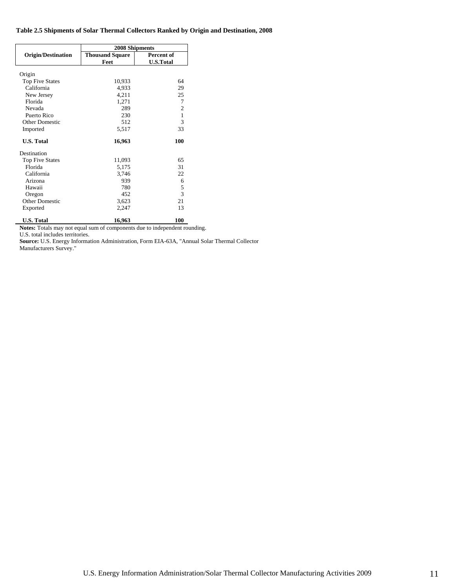#### **Table 2.5 Shipments of Solar Thermal Collectors Ranked by Origin and Destination, 2008**

|                           | 2008 Shipments         |                  |  |  |
|---------------------------|------------------------|------------------|--|--|
| <b>Origin/Destination</b> | <b>Thousand Square</b> | Percent of       |  |  |
|                           | Feet                   | <b>U.S.Total</b> |  |  |
|                           |                        |                  |  |  |
| Origin                    |                        |                  |  |  |
| <b>Top Five States</b>    | 10,933                 | 64               |  |  |
| California                | 4,933                  | 29               |  |  |
| New Jersey                | 4,211                  | 25               |  |  |
| Florida                   | 1,271                  | 7                |  |  |
| Nevada                    | 289                    | 2                |  |  |
| Puerto Rico               | 230                    | $\mathbf{1}$     |  |  |
| <b>Other Domestic</b>     | 512                    | 3                |  |  |
| Imported                  | 5,517                  | 33               |  |  |
| <b>U.S. Total</b>         | 16,963                 | 100              |  |  |
| Destination               |                        |                  |  |  |
| <b>Top Five States</b>    | 11,093                 | 65               |  |  |
| Florida                   | 5,175                  | 31               |  |  |
| California                | 3,746                  | 22               |  |  |
| Arizona                   | 939                    | 6                |  |  |
| Hawaii                    | 780                    | 5                |  |  |
| Oregon                    | 452                    | 3                |  |  |
| <b>Other Domestic</b>     | 3,623                  | 21               |  |  |
| Exported                  | 2,247                  | 13               |  |  |
|                           |                        |                  |  |  |
| <b>U.S. Total</b>         | 16,963                 | 100              |  |  |

**Notes:** Totals may not equal sum of components due to independent rounding. U.S. total includes territories.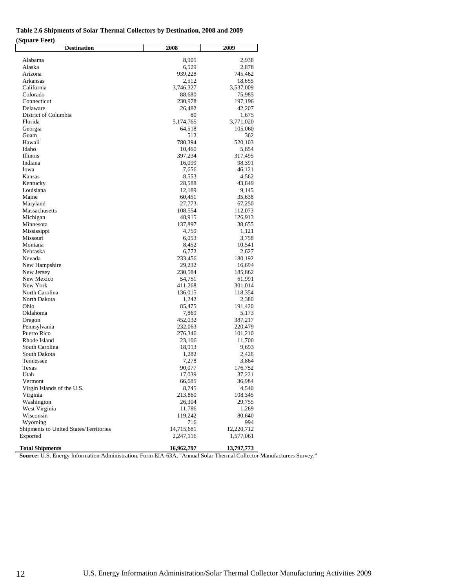### **Table 2.6 Shipments of Solar Thermal Collectors by Destination, 2008 and 2009**

| (Square Feet)                          |            |            |
|----------------------------------------|------------|------------|
| <b>Destination</b>                     | 2008       | 2009       |
| Alabama                                | 8,905      | 2,938      |
| Alaska                                 | 6,529      | 2,878      |
| Arizona                                | 939,228    | 745,462    |
| Arkansas                               | 2,512      | 18,655     |
| California                             | 3,746,327  | 3,537,009  |
| Colorado                               | 88,680     | 75,985     |
| Connecticut                            | 230,978    | 197,196    |
| Delaware                               | 26,482     | 42,207     |
| District of Columbia                   | 80         | 1,675      |
| Florida                                | 5,174,765  | 3,771,020  |
| Georgia                                | 64,518     | 105,060    |
| Guam                                   | 512        | 362        |
| Hawaii                                 | 780,394    | 520,103    |
| Idaho                                  | 10,460     | 5,854      |
| Illinois                               | 397,234    | 317,495    |
| Indiana                                | 16,099     | 98,391     |
| Iowa                                   | 7,656      | 46,121     |
|                                        |            |            |
| Kansas                                 | 8,553      | 4,562      |
| Kentucky                               | 28,588     | 43,849     |
| Louisiana                              | 12,189     | 9,145      |
| Maine                                  | 60,451     | 35,638     |
| Maryland                               | 27,773     | 67,250     |
| Massachusetts                          | 108,554    | 112,073    |
| Michigan                               | 48,915     | 126,913    |
| Minnesota                              | 137,897    | 38,655     |
| Mississippi                            | 4,759      | 1,121      |
| Missouri                               | 6,053      | 3,758      |
| Montana                                | 8,452      | 10,541     |
| Nebraska                               | 6,772      | 2,627      |
| Nevada                                 | 233,456    | 180,192    |
| New Hampshire                          | 29,232     | 16,694     |
| New Jersey                             | 230,584    | 185,862    |
| New Mexico                             | 54,751     | 61,991     |
| New York                               | 411,268    | 301,014    |
| North Carolina                         | 136,015    | 118,354    |
| North Dakota                           | 1,242      | 2,380      |
| Ohio                                   | 85,475     | 191,420    |
| Oklahoma                               | 7,869      | 5,173      |
| Oregon                                 | 452,032    | 387,217    |
| Pennsylvania                           | 232,063    | 220,479    |
| Puerto Rico                            | 276,346    | 101,210    |
| Rhode Island                           | 23,106     | 11,700     |
| South Carolina                         | 18,913     | 9,693      |
| South Dakota                           | 1,282      | 2,426      |
| Tennessee                              | 7,278      | 3,864      |
| Texas                                  | 90,077     | 176,752    |
| Utah                                   | 17,039     | 37,221     |
| Vermont                                | 66,685     | 36,984     |
| Virgin Islands of the U.S.             | 8,745      | 4,540      |
| Virginia                               | 213,860    | 108,345    |
| Washington                             | 26,304     | 29,755     |
| West Virginia                          | 11,786     | 1,269      |
| Wisconsin                              | 119,242    | 80,640     |
| Wyoming                                | 716        | 994        |
| Shipments to United States/Territories | 14,715,681 | 12,220,712 |
| Exported                               | 2,247,116  | 1,577,061  |
| <b>Total Shipments</b>                 | 16,962,797 | 13,797,773 |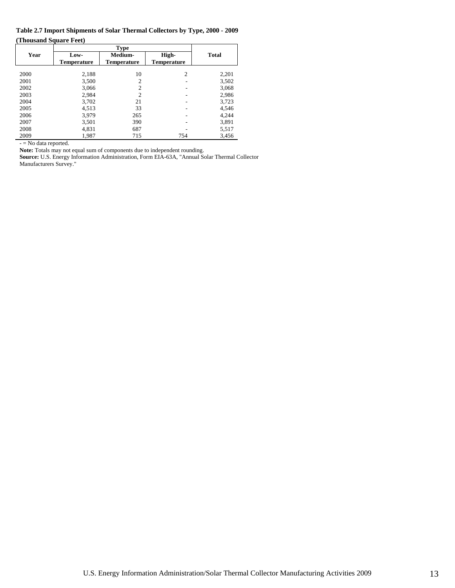**Table 2.7 Import Shipments of Solar Thermal Collectors by Type, 2000 - 2009 (Thousand Square Feet)** 

|      |                    | <b>Type</b>        |                    |              |
|------|--------------------|--------------------|--------------------|--------------|
| Year | Low-               | Medium-            | High-              | <b>Total</b> |
|      | <b>Temperature</b> | <b>Temperature</b> | <b>Temperature</b> |              |
|      |                    |                    |                    |              |
| 2000 | 2,188              | 10                 | $\overline{c}$     | 2,201        |
| 2001 | 3,500              | 2                  |                    | 3,502        |
| 2002 | 3,066              | $\overline{c}$     |                    | 3,068        |
| 2003 | 2,984              | 2                  |                    | 2,986        |
| 2004 | 3,702              | 21                 |                    | 3,723        |
| 2005 | 4.513              | 33                 |                    | 4,546        |
| 2006 | 3,979              | 265                |                    | 4,244        |
| 2007 | 3,501              | 390                |                    | 3,891        |
| 2008 | 4,831              | 687                |                    | 5,517        |
| 2009 | 1,987              | 715                | 754                | 3,456        |

- = No data reported.

**Note:** Totals may not equal sum of components due to independent rounding.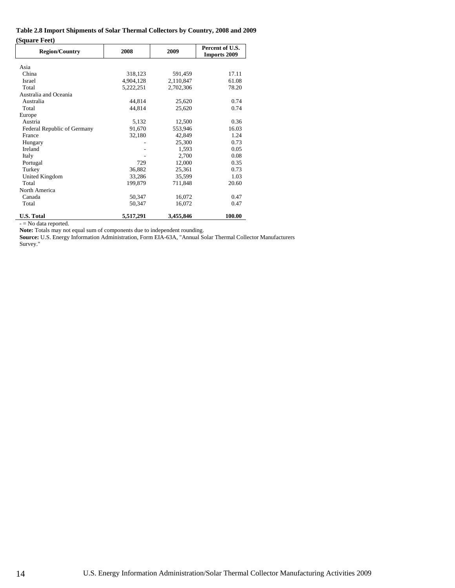#### **Table 2.8 Import Shipments of Solar Thermal Collectors by Country, 2008 and 2009 (Square Feet)**

| <b>Region/Country</b>       | 2008      | 2009      | Percent of U.S.<br><b>Imports 2009</b> |
|-----------------------------|-----------|-----------|----------------------------------------|
| Asia                        |           |           |                                        |
| China                       | 318,123   | 591,459   | 17.11                                  |
| <b>Israel</b>               | 4,904,128 | 2,110,847 | 61.08                                  |
| Total                       | 5,222,251 | 2,702,306 | 78.20                                  |
| Australia and Oceania       |           |           |                                        |
| Australia                   | 44,814    | 25,620    | 0.74                                   |
| Total                       | 44,814    | 25,620    | 0.74                                   |
| Europe                      |           |           |                                        |
| Austria                     | 5,132     | 12,500    | 0.36                                   |
| Federal Republic of Germany | 91,670    | 553,946   | 16.03                                  |
| France                      | 32,180    | 42,849    | 1.24                                   |
| Hungary                     |           | 25,300    | 0.73                                   |
| Ireland                     |           | 1,593     | 0.05                                   |
| Italy                       |           | 2,700     | 0.08                                   |
| Portugal                    | 729       | 12,000    | 0.35                                   |
| Turkey                      | 36,882    | 25,361    | 0.73                                   |
| United Kingdom              | 33,286    | 35,599    | 1.03                                   |
| Total                       | 199,879   | 711,848   | 20.60                                  |
| North America               |           |           |                                        |
| Canada                      | 50,347    | 16,072    | 0.47                                   |
| Total                       | 50,347    | 16,072    | 0.47                                   |
| <b>U.S. Total</b>           | 5,517,291 | 3,455,846 | 100.00                                 |

- = No data reported.

**Note:** Totals may not equal sum of components due to independent rounding.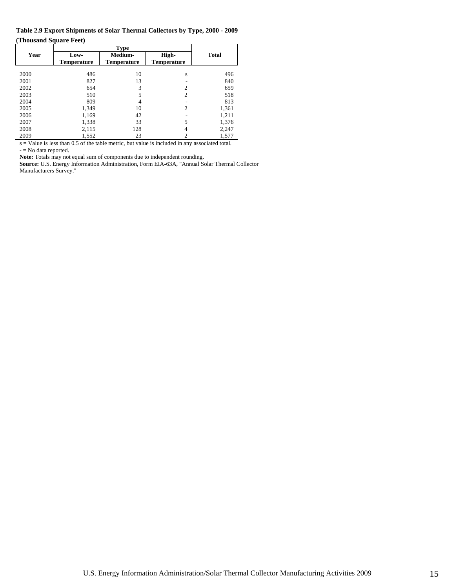**Table 2.9 Export Shipments of Solar Thermal Collectors by Type, 2000 - 2009 (Thousand Square Feet)** 

|      |                    | <b>Type</b>    |                    |              |
|------|--------------------|----------------|--------------------|--------------|
| Year | Low-               | <b>Medium-</b> | High-              | <b>Total</b> |
|      | <b>Temperature</b> | Temperature    | <b>Temperature</b> |              |
|      |                    |                |                    |              |
| 2000 | 486                | 10             | S                  | 496          |
| 2001 | 827                | 13             |                    | 840          |
| 2002 | 654                | 3              | $\overline{c}$     | 659          |
| 2003 | 510                | 5              | $\overline{c}$     | 518          |
| 2004 | 809                | 4              |                    | 813          |
| 2005 | 1,349              | 10             | $\overline{c}$     | 1,361        |
| 2006 | 1,169              | 42             |                    | 1,211        |
| 2007 | 1,338              | 33             | 5                  | 1,376        |
| 2008 | 2,115              | 128            | 4                  | 2,247        |
| 2009 | 1,552              | 23             |                    | 1,577        |

s = Value is less than 0.5 of the table metric, but value is included in any associated total. - = No data reported.

**Note:** Totals may not equal sum of components due to independent rounding.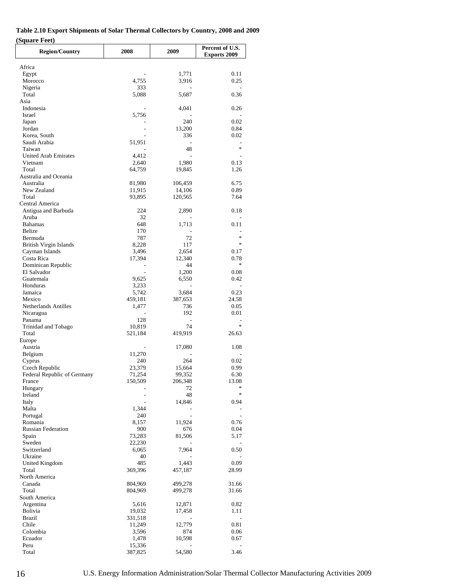| Table 2.10 Export Shipments of Solar Thermal Collectors by Country, 2008 and 2009 |  |
|-----------------------------------------------------------------------------------|--|
| (Square Feet)                                                                     |  |

| <b>Region/Country</b>                         | 2008                               | 2009              | Percent of U.S.<br><b>Exports 2009</b> |
|-----------------------------------------------|------------------------------------|-------------------|----------------------------------------|
|                                               |                                    |                   |                                        |
| Africa<br>Egypt                               |                                    | 1,771             | 0.11                                   |
| Morocco                                       | 4,755                              | 3,916             | 0.25                                   |
| Nigeria                                       | 333                                |                   |                                        |
| Total<br>Asia                                 | 5,088                              | 5,687             | 0.36                                   |
| Indonesia                                     |                                    | 4,041             | 0.26                                   |
| Israel                                        | 5,756                              |                   |                                        |
| Japan                                         |                                    | 240               | 0.02                                   |
| Jordan                                        | $\overline{a}$                     | 13,200            | 0.84                                   |
| Korea, South<br>Saudi Arabia                  | $\overline{\phantom{a}}$<br>51,951 | 336<br>٠          | 0.02<br>$\overline{a}$                 |
| Taiwan                                        |                                    | 48                | $\ast$                                 |
| <b>United Arab Emirates</b>                   | 4,412                              | $\overline{a}$    |                                        |
| Vietnam                                       | 2,640                              | 1,980             | 0.13                                   |
| Total<br>Australia and Oceania                | 64,759                             | 19,845            | 1.26                                   |
| Australia                                     | 81,980                             | 106,459           | 6.75                                   |
| New Zealand                                   | 11,915                             | 14,106            | 0.89                                   |
| Total                                         | 93,895                             | 120,565           | 7.64                                   |
| Central America                               |                                    |                   |                                        |
| Antigua and Barbuda<br>Aruba                  | 224<br>32                          | 2,890             | 0.18                                   |
| <b>Bahamas</b>                                | 648                                | 1,713             | 0.11                                   |
| Belize                                        | 170                                |                   |                                        |
| Bermuda                                       | 787                                | 72                | $\ast$                                 |
| <b>British Virgin Islands</b>                 | 8,228                              | 117               | $*$                                    |
| Cayman Islands<br>Costa Rica                  | 3,496<br>17,394                    | 2,654<br>12,340   | 0.17<br>0.78                           |
| Dominican Republic                            |                                    | 44                | $\ast$                                 |
| El Salvador                                   | ÷.                                 | 1,200             | 0.08                                   |
| Guatemala                                     | 9,625                              | 6,550             | 0.42                                   |
| Honduras                                      | 3,233                              | ÷,                | $\overline{\phantom{a}}$               |
| Jamaica<br>Mexico                             | 5,742<br>459,181                   | 3,684<br>387,653  | 0.23<br>24.58                          |
| Netherlands Antilles                          | 1,477                              | 736               | 0.05                                   |
| Nicaragua                                     |                                    | 192               | 0.01                                   |
| Panama                                        | 128                                |                   |                                        |
| Trinidad and Tobago                           | 10,819                             | 74                | $\ast$                                 |
| Total<br>Europe                               | 521,184                            | 419,919           | 26.63                                  |
| Austria                                       | $\overline{\phantom{a}}$           | 17,080            | 1.08                                   |
| Belgium                                       | 11,270                             |                   |                                        |
| Cyprus                                        | 240                                | 264               | 0.02                                   |
| Czech Republic<br>Federal Republic of Germany | 23,379                             | 15,664            | 0.99                                   |
| France                                        | 71,254<br>150,509                  | 99,352<br>206,348 | 6.30<br>13.08                          |
| Hungary                                       |                                    | 72                | ∗                                      |
| Ireland                                       |                                    | 48                | $\ast$                                 |
| Italy                                         |                                    | 14,846            | 0.94                                   |
| Malta                                         | 1,344                              |                   |                                        |
| Portugal<br>Romania                           | 240<br>8,157                       | 11,924            | 0.76                                   |
| <b>Russian Federation</b>                     | 900                                | 676               | 0.04                                   |
| Spain                                         | 73,283                             | 81,506            | 5.17                                   |
| Sweden                                        | 22,230                             |                   |                                        |
| Switzerland<br>Ukraine                        | 6,065<br>40                        | 7,964             | 0.50                                   |
| United Kingdom                                | 485                                | 1,443             | 0.09                                   |
| Total                                         | 369,396                            | 457,187           | 28.99                                  |
| North America                                 |                                    |                   |                                        |
| Canada                                        | 804,969                            | 499,278           | 31.66                                  |
| Total<br>South America                        | 804,969                            | 499,278           | 31.66                                  |
| Argentina                                     | 5,616                              | 12,871            | 0.82                                   |
| Bolivia                                       | 19,032                             | 17,458            | 1.11                                   |
| <b>Brazil</b>                                 | 331,518                            |                   |                                        |
| Chile                                         | 11,249                             | 12,779            | 0.81                                   |
| Colombia<br>Ecuador                           | 3,596<br>1,478                     | 874<br>10,598     | 0.06<br>0.67                           |
| Peru                                          | 15,336                             |                   |                                        |
| Total                                         | 387,825                            | 54,580            | 3.46                                   |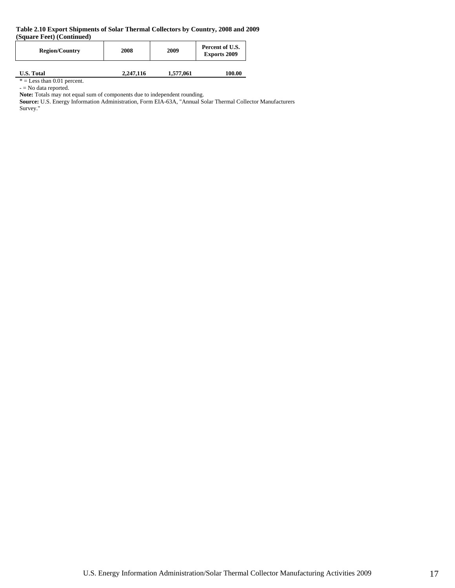#### **Table 2.10 Export Shipments of Solar Thermal Collectors by Country, 2008 and 2009 (Square Feet) (Continued)**

| <b>Region/Country</b> | 2008      | 2009      | Percent of U.S.<br><b>Exports 2009</b> |
|-----------------------|-----------|-----------|----------------------------------------|
| <b>U.S. Total</b>     | 2,247,116 | 1,577,061 | 100.00                                 |

 $* =$  Less than 0.01 percent. - = No data reported.

Note: Totals may not equal sum of components due to independent rounding.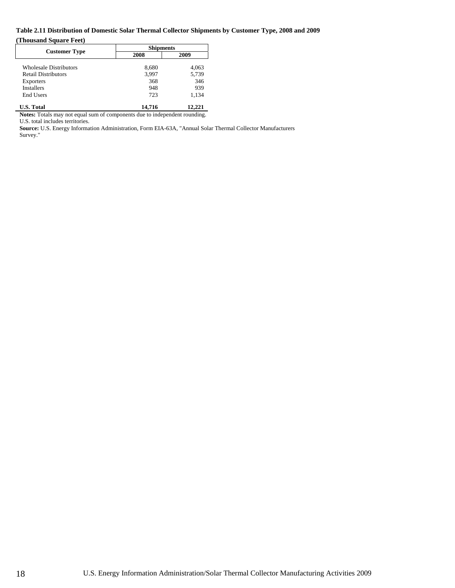# **Table 2.11 Distribution of Domestic Solar Thermal Collector Shipments by Customer Type, 2008 and 2009**

#### **(Thousand Square Feet)**

|                               | <b>Shipments</b> |        |  |  |
|-------------------------------|------------------|--------|--|--|
| <b>Customer Type</b>          | 2008             | 2009   |  |  |
| <b>Wholesale Distributors</b> | 8,680            | 4,063  |  |  |
| <b>Retail Distributors</b>    | 3,997            | 5,739  |  |  |
| Exporters                     | 368              | 346    |  |  |
| <b>Installers</b>             | 948              | 939    |  |  |
| End Users                     | 723              | 1,134  |  |  |
| <b>U.S. Total</b>             | 14.716           | 12.221 |  |  |

**Notes:** Totals may not equal sum of components due to independent rounding.

U.S. total includes territories.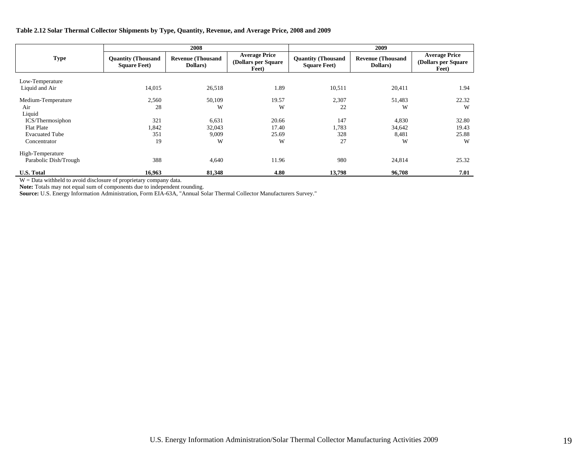#### **Table 2.12 Solar Thermal Collector Shipments by Type, Quantity, Revenue, and Average Price, 2008 and 2009**

|                       | 2008                                              |                                      | 2009                                                  |                                                   |                                      |                                                       |
|-----------------------|---------------------------------------------------|--------------------------------------|-------------------------------------------------------|---------------------------------------------------|--------------------------------------|-------------------------------------------------------|
| <b>Type</b>           | <b>Quantity (Thousand</b><br><b>Square Feet</b> ) | <b>Revenue (Thousand</b><br>Dollars) | <b>Average Price</b><br>(Dollars per Square)<br>Feet) | <b>Quantity (Thousand</b><br><b>Square Feet</b> ) | <b>Revenue (Thousand</b><br>Dollars) | <b>Average Price</b><br>(Dollars per Square)<br>Feet) |
| Low-Temperature       |                                                   |                                      |                                                       |                                                   |                                      |                                                       |
| Liquid and Air        | 14,015                                            | 26,518                               | 1.89                                                  | 10,511                                            | 20,411                               | 1.94                                                  |
| Medium-Temperature    | 2,560                                             | 50,109                               | 19.57                                                 | 2,307                                             | 51,483                               | 22.32                                                 |
| Air                   | 28                                                | W                                    | W                                                     | 22                                                | W                                    | W                                                     |
| Liquid                |                                                   |                                      |                                                       |                                                   |                                      |                                                       |
| ICS/Thermosiphon      | 321                                               | 6,631                                | 20.66                                                 | 147                                               | 4,830                                | 32.80                                                 |
| Flat Plate            | 1,842                                             | 32,043                               | 17.40                                                 | 1,783                                             | 34,642                               | 19.43                                                 |
| <b>Evacuated Tube</b> | 351                                               | 9,009                                | 25.69                                                 | 328                                               | 8,481                                | 25.88                                                 |
| Concentrator          | 19                                                | W                                    | W                                                     | 27                                                | W                                    | W                                                     |
| High-Temperature      |                                                   |                                      |                                                       |                                                   |                                      |                                                       |
| Parabolic Dish/Trough | 388                                               | 4,640                                | 11.96                                                 | 980                                               | 24,814                               | 25.32                                                 |
| <b>U.S. Total</b>     | 16,963                                            | 81,348                               | 4.80                                                  | 13,798                                            | 96,708                               | 7.01                                                  |

W = Data withheld to avoid disclosure of proprietary company data.

**Note:** Totals may not equal sum of components due to independent rounding.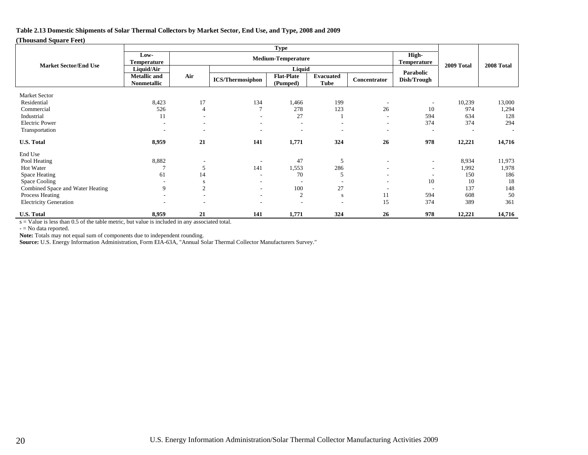#### **Table 2.13 Domestic Shipments of Solar Thermal Collectors by Market Sector, End Use, and Type, 2008 and 2009**

#### **(Thousand Square Feet)**

|                                     | <b>Type</b>                               |                                                          |                          |                               |                                 |                          |                          |            |        |
|-------------------------------------|-------------------------------------------|----------------------------------------------------------|--------------------------|-------------------------------|---------------------------------|--------------------------|--------------------------|------------|--------|
|                                     | Low-<br>Temperature                       | High-<br><b>Medium-Temperature</b><br><b>Temperature</b> |                          |                               |                                 |                          |                          |            |        |
| <b>Market Sector/End Use</b>        | Liquid/Air                                |                                                          | Liquid                   |                               |                                 |                          | 2009 Total               | 2008 Total |        |
|                                     | <b>Metallic</b> and<br><b>Nonmetallic</b> | Air                                                      | <b>ICS/Thermosiphon</b>  | <b>Flat-Plate</b><br>(Pumped) | <b>Evacuated</b><br><b>Tube</b> | Concentrator             | Parabolic<br>Dish/Trough |            |        |
|                                     |                                           |                                                          |                          |                               |                                 |                          |                          |            |        |
| <b>Market Sector</b><br>Residential | 8,423                                     | 17                                                       | 134                      | 1,466                         | 199                             |                          |                          | 10,239     | 13,000 |
| Commercial                          | 526                                       | $\overline{4}$                                           | $\overline{7}$           | 278                           | 123                             | 26                       | 10                       | 974        | 1,294  |
| Industrial                          | 11                                        |                                                          | $\overline{\phantom{a}}$ | 27                            |                                 |                          | 594                      | 634        | 128    |
| Electric Power                      | ۰                                         |                                                          | ٠                        | $\overline{\phantom{a}}$      | $\overline{\phantom{a}}$        | $\overline{\phantom{a}}$ | 374                      | 374        | 294    |
| Transportation                      | ۰.                                        | $\overline{\phantom{0}}$                                 | ۰                        | $\overline{\phantom{a}}$      | $\overline{\phantom{a}}$        | $\overline{\phantom{a}}$ | $\overline{\phantom{a}}$ |            |        |
| <b>U.S. Total</b>                   | 8,959                                     | 21                                                       | 141                      | 1,771                         | 324                             | 26                       | 978                      | 12,221     | 14,716 |
| End Use                             |                                           |                                                          |                          |                               |                                 |                          |                          |            |        |
| Pool Heating                        | 8,882                                     |                                                          |                          | 47                            | 5                               |                          | $\overline{\phantom{a}}$ | 8,934      | 11,973 |
| Hot Water                           |                                           | 5                                                        | 141                      | 1,553                         | 286                             |                          | $\sim$                   | 1,992      | 1,978  |
| Space Heating                       | 61                                        | 14                                                       | ٠                        | 70                            | 5                               |                          |                          | 150        | 186    |
| Space Cooling                       |                                           | S                                                        | $\overline{\phantom{a}}$ | $\overline{\phantom{a}}$      |                                 | $\overline{\phantom{a}}$ | 10                       | 10         | 18     |
| Combined Space and Water Heating    | 9                                         | 2                                                        | $\overline{\phantom{a}}$ | 100                           | 27                              |                          |                          | 137        | 148    |
| Process Heating                     |                                           |                                                          | $\overline{\phantom{a}}$ | 2                             | S                               | 11                       | 594                      | 608        | 50     |
| <b>Electricity Generation</b>       |                                           |                                                          |                          | $\overline{\phantom{a}}$      | $\overline{\phantom{a}}$        | 15                       | 374                      | 389        | 361    |
| <b>U.S. Total</b>                   | 8,959                                     | 21                                                       | 141                      | 1,771                         | 324                             | 26                       | 978                      | 12,221     | 14,716 |

s = Value is less than 0.5 of the table metric, but value is included in any associated total.

- = No data reported.

Note: Totals may not equal sum of components due to independent rounding.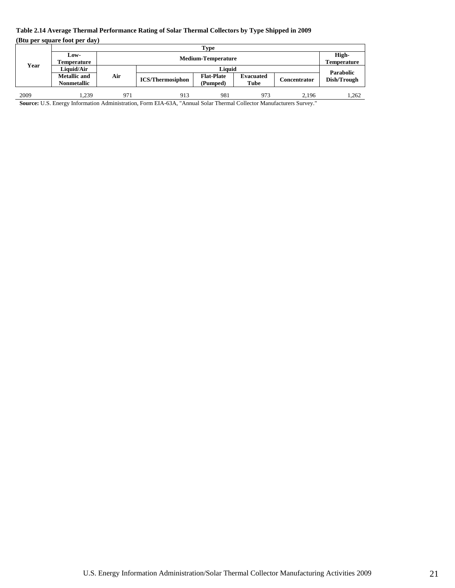# **Table 2.14 Average Thermal Performance Rating of Solar Thermal Collectors by Type Shipped in 2009**

**(Btu per square foot per day)** 

|      | Type                |     |                           |                   |                  |                     |                          |
|------|---------------------|-----|---------------------------|-------------------|------------------|---------------------|--------------------------|
|      | Low-                |     | <b>Medium-Temperature</b> |                   |                  |                     | High-                    |
| Year | Temperature         |     |                           |                   |                  |                     |                          |
|      | Liquid/Air          |     |                           | Liauid            |                  |                     |                          |
|      | <b>Metallic</b> and | Air |                           | <b>Flat-Plate</b> | <b>Evacuated</b> |                     | Parabolic<br>Dish/Trough |
|      | <b>Nonmetallic</b>  |     | <b>ICS/Thermosiphon</b>   | (Pumped)          | Tube             | <b>Concentrator</b> |                          |
|      |                     |     |                           |                   |                  |                     |                          |
| 2009 | .239                | 971 | 913                       | 981               | 973              | 2.196               | 1,262                    |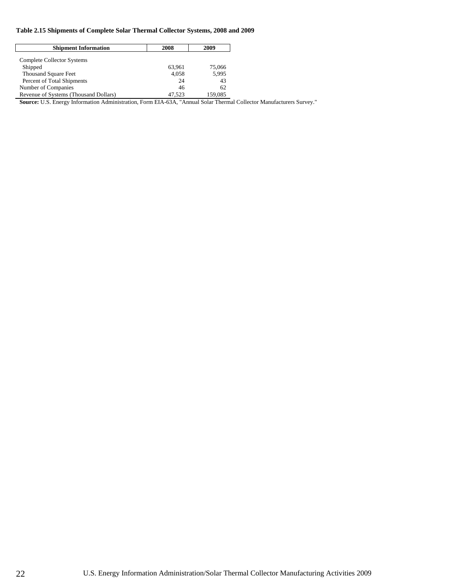#### **Table 2.15 Shipments of Complete Solar Thermal Collector Systems, 2008 and 2009**

| <b>Shipment Information</b>           | 2008   | 2009    |
|---------------------------------------|--------|---------|
| Complete Collector Systems            |        |         |
| Shipped                               | 63.961 | 75,066  |
| <b>Thousand Square Feet</b>           | 4,058  | 5,995   |
| Percent of Total Shipments            | 24     | 43      |
| Number of Companies                   | 46     | 62      |
| Revenue of Systems (Thousand Dollars) | 47.523 | 159.085 |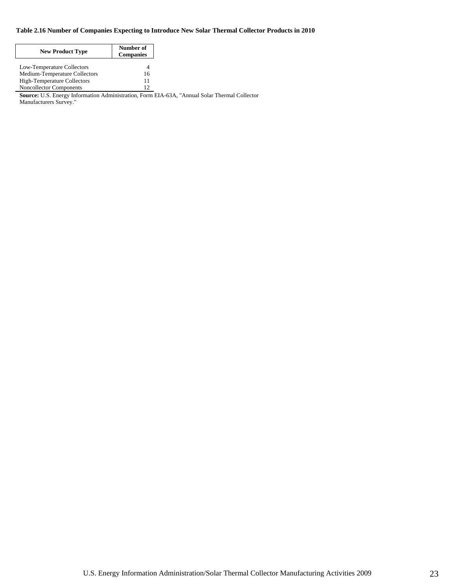#### **Table 2.16 Number of Companies Expecting to Introduce New Solar Thermal Collector Products in 2010**

| <b>New Product Type</b>        | Number of<br><b>Companies</b> |
|--------------------------------|-------------------------------|
| Low-Temperature Collectors     |                               |
| Medium-Temperature Collectors  | 16                            |
| High-Temperature Collectors    | 11                            |
| <b>Noncollector Components</b> | 12                            |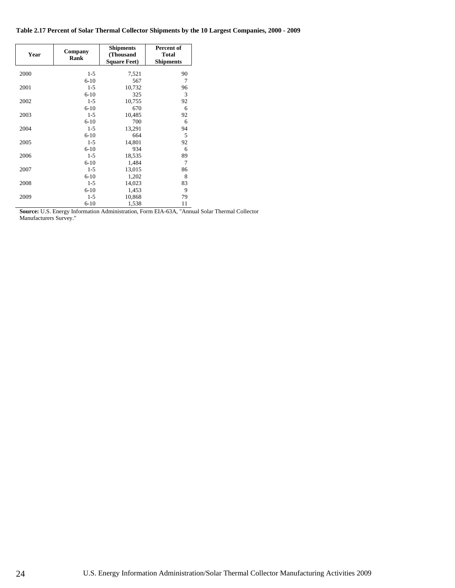**Table 2.17 Percent of Solar Thermal Collector Shipments by the 10 Largest Companies, 2000 - 2009** 

| Year | Company<br>Rank | <b>Shipments</b><br>(Thousand<br><b>Square Feet)</b> | Percent of<br><b>Total</b><br><b>Shipments</b> |
|------|-----------------|------------------------------------------------------|------------------------------------------------|
| 2000 | $1 - 5$         | 7,521                                                | 90                                             |
|      | $6-10$          | 567                                                  | 7                                              |
| 2001 | $1 - 5$         | 10,732                                               | 96                                             |
|      | $6 - 10$        | 325                                                  | 3                                              |
| 2002 | $1 - 5$         | 10,755                                               | 92                                             |
|      | $6-10$          | 670                                                  | 6                                              |
| 2003 | $1 - 5$         | 10,485                                               | 92                                             |
|      | $6-10$          | 700                                                  | 6                                              |
| 2004 | $1 - 5$         | 13,291                                               | 94                                             |
|      | $6 - 10$        | 664                                                  | 5                                              |
| 2005 | $1 - 5$         | 14,801                                               | 92                                             |
|      | $6 - 10$        | 934                                                  | 6                                              |
| 2006 | $1 - 5$         | 18,535                                               | 89                                             |
|      | $6-10$          | 1,484                                                | 7                                              |
| 2007 | $1 - 5$         | 13,015                                               | 86                                             |
|      | $6-10$          | 1,202                                                | 8                                              |
| 2008 | $1 - 5$         | 14,023                                               | 83                                             |
|      | $6 - 10$        | 1,453                                                | 9                                              |
| 2009 | $1 - 5$         | 10,868                                               | 79                                             |
|      | $6 - 10$        | 1,538                                                | 11                                             |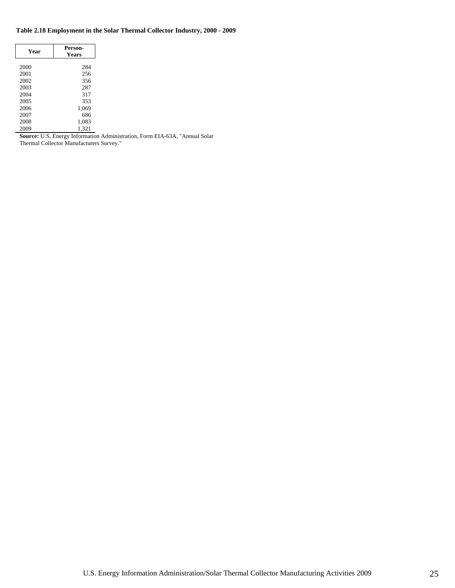#### **Table 2.18 Employment in the Solar Thermal Collector Industry, 2000 - 2009**

| Year | Person-<br>Years |
|------|------------------|
| 2000 | 284              |
| 2001 | 256              |
| 2002 | 356              |
| 2003 | 287              |
| 2004 | 317              |
| 2005 | 353              |
| 2006 | 1,069            |
| 2007 | 686              |
| 2008 | 1,083            |
| 2009 | 1.321            |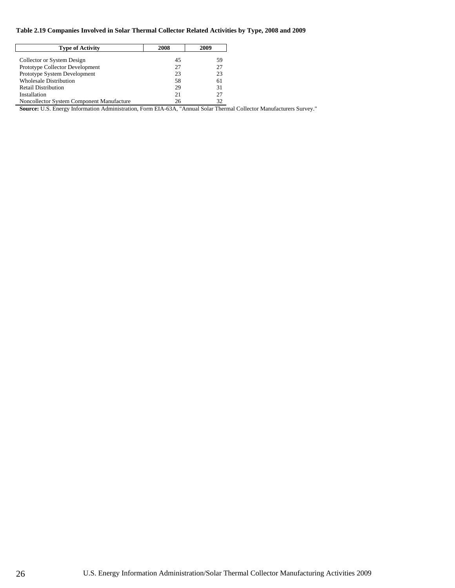#### **Table 2.19 Companies Involved in Solar Thermal Collector Related Activities by Type, 2008 and 2009**

| <b>Type of Activity</b>                   | 2008 | 2009 |
|-------------------------------------------|------|------|
| Collector or System Design                | 45   | 59   |
| Prototype Collector Development           | 27   | 27   |
| Prototype System Development              | 23   | 23   |
| <b>Wholesale Distribution</b>             | 58   | 61   |
| <b>Retail Distribution</b>                | 29   | 31   |
| Installation                              | 21   | 27   |
| Noncollector System Component Manufacture | 26   | 32   |